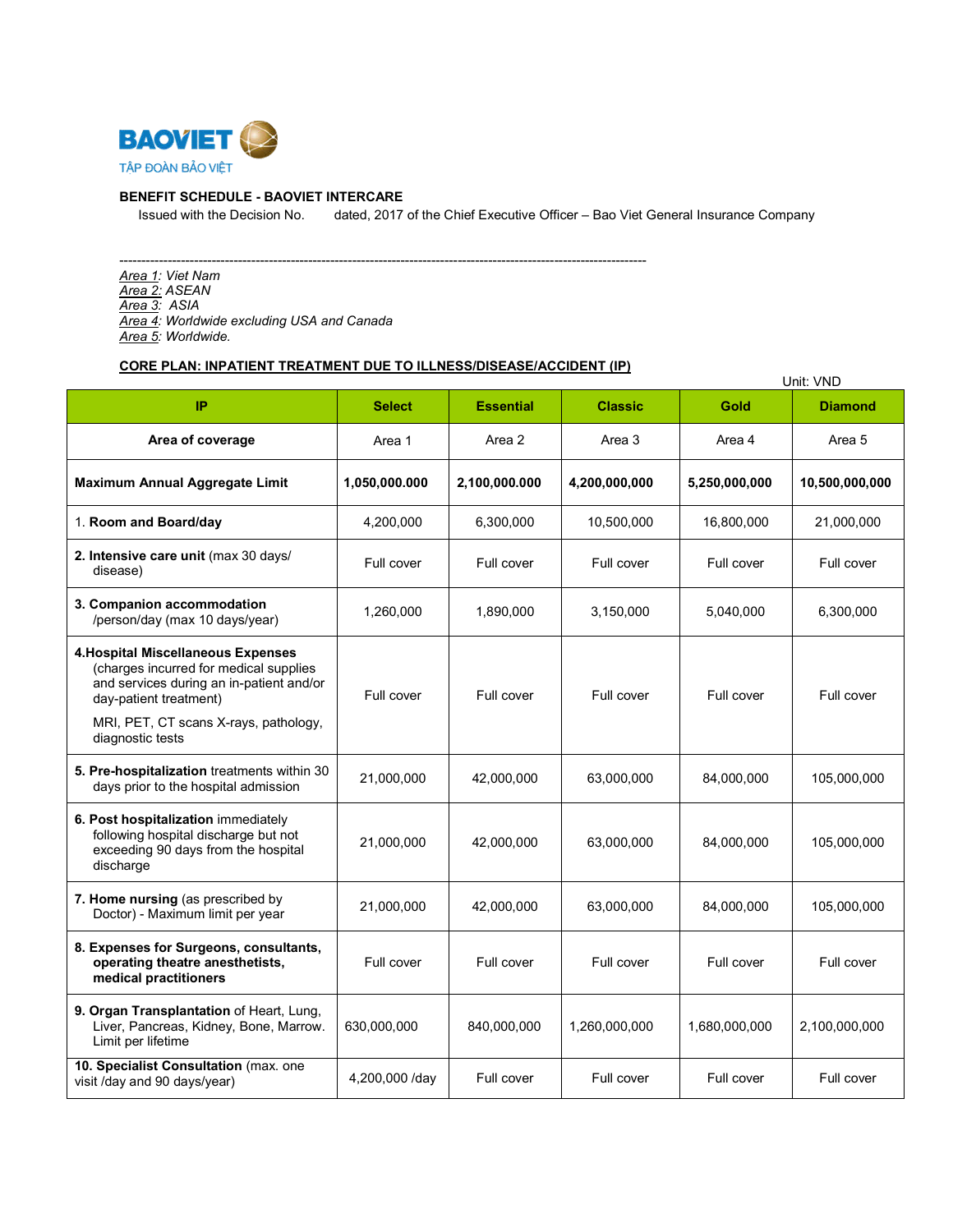

### **BENEFIT SCHEDULE - BAOVIET INTERCARE**

Issued with the Decision No. dated, 2017 of the Chief Executive Officer – Bao Viet General Insurance Company

------------------------------------------------------------------------------------------------------------------------ *Area 1: Viet Nam Area 2: ASEAN Area 3: ASIA Area 4: Worldwide excluding USA and Canada Area 5: Worldwide.*

## **CORE PLAN: INPATIENT TREATMENT DUE TO ILLNESS/DISEASE/ACCIDENT (IP)**

|                                                                                                                                                                                                                        |                |                  |                |               | Unit: VND      |
|------------------------------------------------------------------------------------------------------------------------------------------------------------------------------------------------------------------------|----------------|------------------|----------------|---------------|----------------|
| IP                                                                                                                                                                                                                     | <b>Select</b>  | <b>Essential</b> | <b>Classic</b> | Gold          | <b>Diamond</b> |
| Area of coverage                                                                                                                                                                                                       | Area 1         | Area 2           | Area 3         | Area 4        | Area 5         |
| Maximum Annual Aggregate Limit                                                                                                                                                                                         | 1,050,000.000  | 2,100,000.000    | 4,200,000,000  | 5,250,000,000 | 10,500,000,000 |
| 1. Room and Board/day                                                                                                                                                                                                  | 4,200,000      | 6,300,000        | 10,500,000     | 16,800,000    | 21,000,000     |
| 2. Intensive care unit (max 30 days/<br>disease)                                                                                                                                                                       | Full cover     | Full cover       | Full cover     | Full cover    | Full cover     |
| 3. Companion accommodation<br>/person/day (max 10 days/year)                                                                                                                                                           | 1,260,000      | 1,890,000        | 3,150,000      | 5,040,000     | 6,300,000      |
| <b>4. Hospital Miscellaneous Expenses</b><br>(charges incurred for medical supplies<br>and services during an in-patient and/or<br>day-patient treatment)<br>MRI, PET, CT scans X-rays, pathology,<br>diagnostic tests | Full cover     | Full cover       | Full cover     | Full cover    | Full cover     |
| 5. Pre-hospitalization treatments within 30<br>days prior to the hospital admission                                                                                                                                    | 21,000,000     | 42,000,000       | 63,000,000     | 84,000,000    | 105,000,000    |
| 6. Post hospitalization immediately<br>following hospital discharge but not<br>exceeding 90 days from the hospital<br>discharge                                                                                        | 21,000,000     | 42,000,000       | 63,000,000     | 84,000,000    | 105,000,000    |
| 7. Home nursing (as prescribed by<br>Doctor) - Maximum limit per year                                                                                                                                                  | 21,000,000     | 42,000,000       | 63,000,000     | 84,000,000    | 105,000,000    |
| 8. Expenses for Surgeons, consultants,<br>operating theatre anesthetists,<br>medical practitioners                                                                                                                     | Full cover     | Full cover       | Full cover     | Full cover    | Full cover     |
| 9. Organ Transplantation of Heart, Lung,<br>Liver, Pancreas, Kidney, Bone, Marrow.<br>Limit per lifetime                                                                                                               | 630,000,000    | 840,000,000      | 1,260,000,000  | 1,680,000,000 | 2,100,000,000  |
| 10. Specialist Consultation (max. one<br>visit /day and 90 days/year)                                                                                                                                                  | 4,200,000 /day | Full cover       | Full cover     | Full cover    | Full cover     |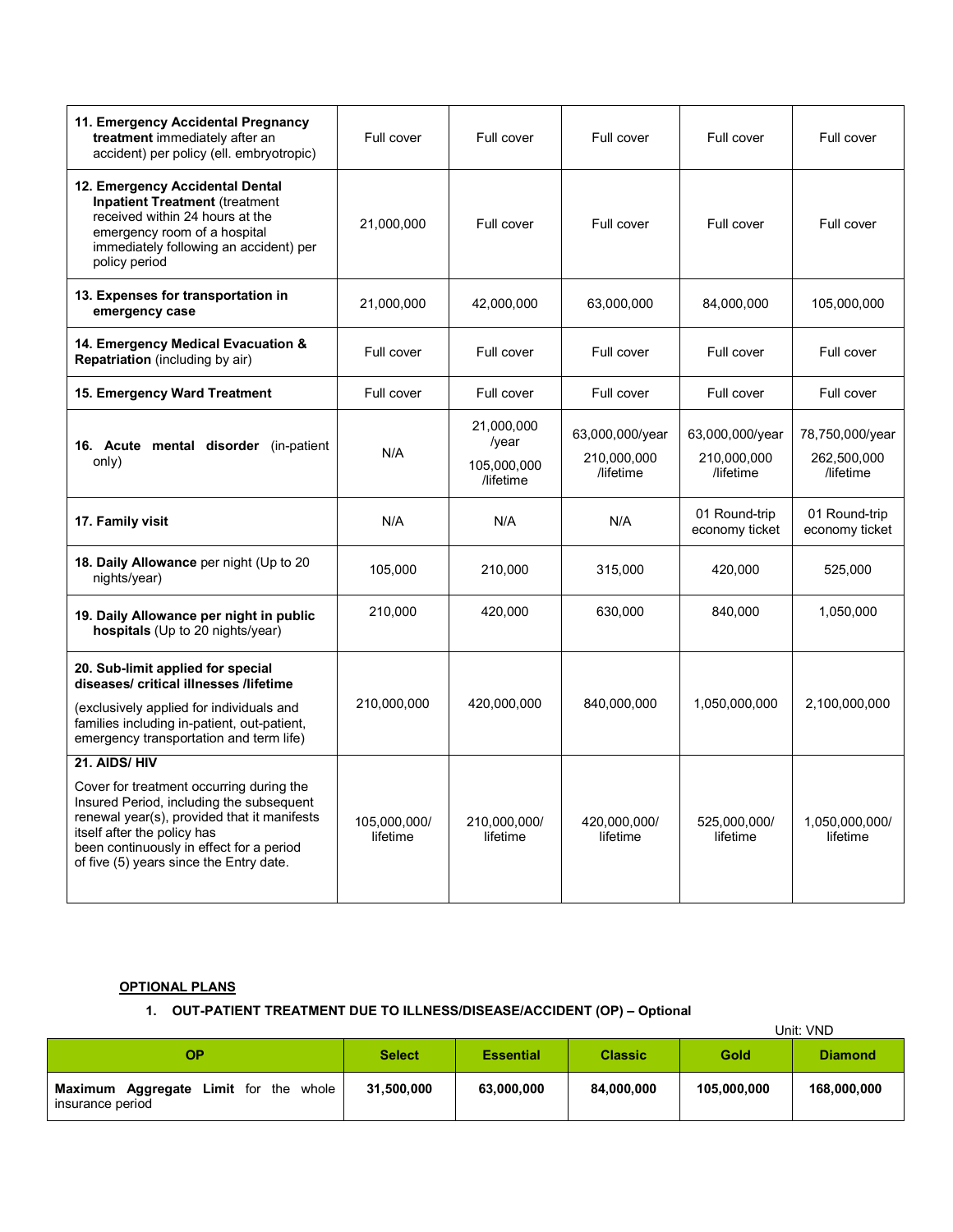| 11. Emergency Accidental Pregnancy<br>treatment immediately after an<br>accident) per policy (ell. embryotropic)                                                                                                                                                          | Full cover               | Full cover                                      | Full cover                                  | Full cover                                  | Full cover                                  |
|---------------------------------------------------------------------------------------------------------------------------------------------------------------------------------------------------------------------------------------------------------------------------|--------------------------|-------------------------------------------------|---------------------------------------------|---------------------------------------------|---------------------------------------------|
| 12. Emergency Accidental Dental<br><b>Inpatient Treatment (treatment</b><br>received within 24 hours at the<br>emergency room of a hospital<br>immediately following an accident) per<br>policy period                                                                    | 21,000,000               | Full cover                                      | Full cover                                  | Full cover                                  | Full cover                                  |
| 13. Expenses for transportation in<br>emergency case                                                                                                                                                                                                                      | 21,000,000               | 42.000.000                                      | 63,000,000                                  | 84,000,000                                  | 105,000,000                                 |
| 14. Emergency Medical Evacuation &<br><b>Repatriation</b> (including by air)                                                                                                                                                                                              | Full cover               | Full cover                                      | Full cover                                  | Full cover                                  | Full cover                                  |
| 15. Emergency Ward Treatment                                                                                                                                                                                                                                              | Full cover               | Full cover                                      | Full cover                                  | Full cover                                  | Full cover                                  |
| 16. Acute mental disorder (in-patient<br>only)                                                                                                                                                                                                                            | N/A                      | 21,000,000<br>/year<br>105,000,000<br>/lifetime | 63,000,000/year<br>210,000,000<br>/lifetime | 63,000,000/year<br>210,000,000<br>/lifetime | 78,750,000/year<br>262,500,000<br>/lifetime |
| 17. Family visit                                                                                                                                                                                                                                                          | N/A                      | N/A                                             | N/A                                         | 01 Round-trip<br>economy ticket             | 01 Round-trip<br>economy ticket             |
| 18. Daily Allowance per night (Up to 20<br>nights/year)                                                                                                                                                                                                                   | 105,000                  | 210,000                                         | 315,000                                     | 420,000                                     | 525,000                                     |
| 19. Daily Allowance per night in public<br>hospitals (Up to 20 nights/year)                                                                                                                                                                                               | 210,000                  | 420,000                                         | 630,000                                     | 840,000                                     | 1,050,000                                   |
| 20. Sub-limit applied for special<br>diseases/ critical illnesses /lifetime<br>(exclusively applied for individuals and<br>families including in-patient, out-patient,<br>emergency transportation and term life)                                                         | 210,000,000              | 420,000,000                                     | 840,000,000                                 | 1,050,000,000                               | 2,100,000,000                               |
| 21. AIDS/HIV<br>Cover for treatment occurring during the<br>Insured Period, including the subsequent<br>renewal year(s), provided that it manifests<br>itself after the policy has<br>been continuously in effect for a period<br>of five (5) years since the Entry date. | 105.000.000/<br>lifetime | 210,000,000/<br>lifetime                        | 420,000,000/<br>lifetime                    | 525,000,000/<br>lifetime                    | 1,050,000,000/<br>lifetime                  |

## **OPTIONAL PLANS**

## **1. OUT-PATIENT TREATMENT DUE TO ILLNESS/DISEASE/ACCIDENT (OP) – Optional**

|                                                           |               |                  |                |             | Unit: VND      |
|-----------------------------------------------------------|---------------|------------------|----------------|-------------|----------------|
| ОP                                                        | <b>Select</b> | <b>Essential</b> | <b>Classic</b> | Gold        | <b>Diamond</b> |
| Maximum Aggregate Limit for the whole<br>insurance period | 31,500,000    | 63,000,000       | 84,000,000     | 105,000,000 | 168,000,000    |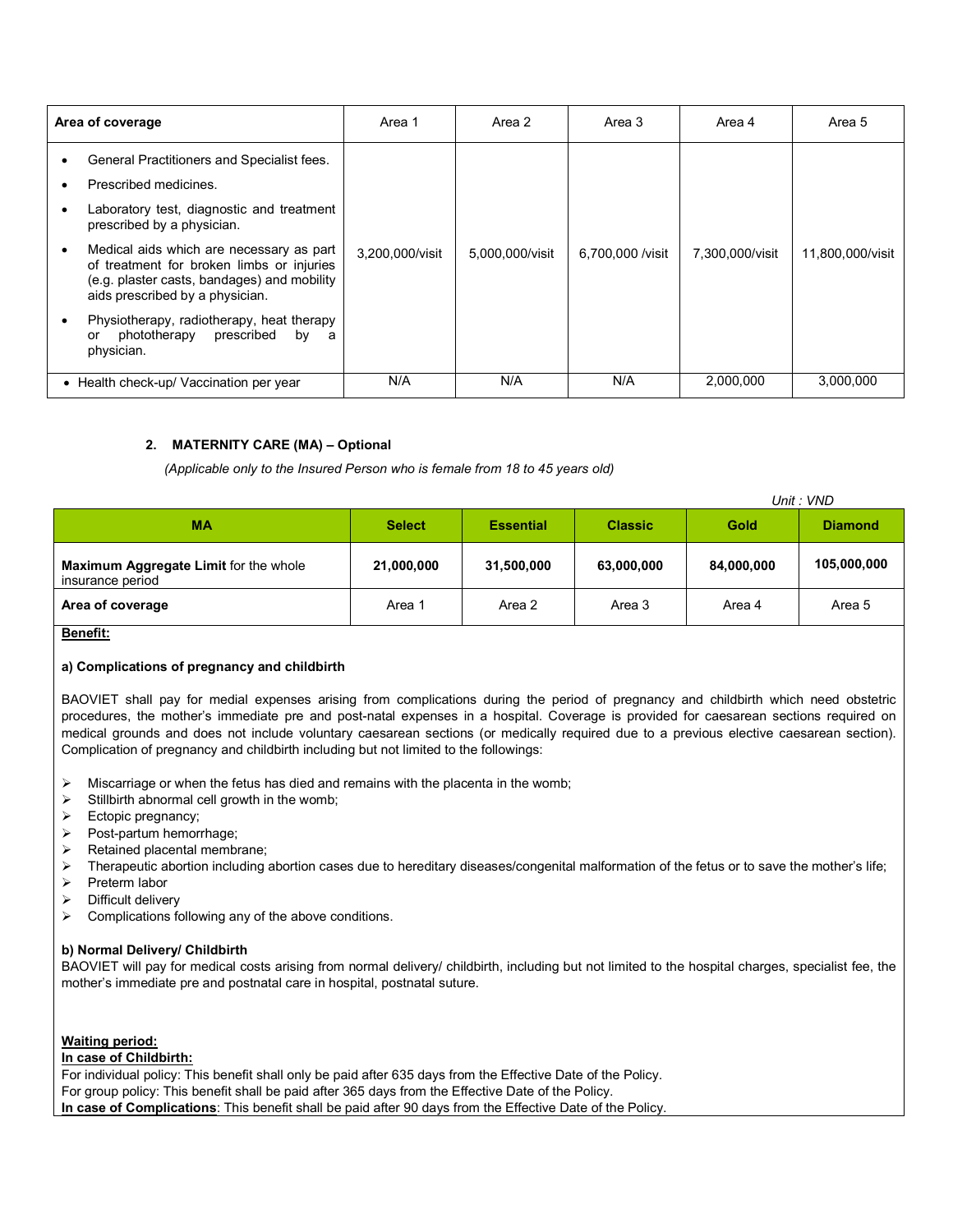| Area of coverage                                                                                                                                                                                                                                                                                                          | Area 1          | Area 2          | Area 3           | Area 4          | Area 5           |
|---------------------------------------------------------------------------------------------------------------------------------------------------------------------------------------------------------------------------------------------------------------------------------------------------------------------------|-----------------|-----------------|------------------|-----------------|------------------|
| General Practitioners and Specialist fees.<br>Prescribed medicines.<br>Laboratory test, diagnostic and treatment<br>prescribed by a physician.<br>Medical aids which are necessary as part<br>of treatment for broken limbs or injuries<br>(e.g. plaster casts, bandages) and mobility<br>aids prescribed by a physician. | 3,200,000/visit | 5,000,000/visit | 6,700,000 /visit | 7,300,000/visit | 11,800,000/visit |
| Physiotherapy, radiotherapy, heat therapy<br>prescribed<br>phototherapy<br>by<br>or<br>- a<br>physician.                                                                                                                                                                                                                  |                 |                 |                  |                 |                  |
| • Health check-up/ Vaccination per year                                                                                                                                                                                                                                                                                   | N/A             | N/A             | N/A              | 2.000.000       | 3.000.000        |

### **2. MATERNITY CARE (MA) – Optional**

 *(Applicable only to the Insured Person who is female from 18 to 45 years old)*

|                                                           |               |                  |                |            | Unit: VND      |  |
|-----------------------------------------------------------|---------------|------------------|----------------|------------|----------------|--|
| <b>MA</b>                                                 | <b>Select</b> | <b>Essential</b> | <b>Classic</b> | Gold       | <b>Diamond</b> |  |
| Maximum Aggregate Limit for the whole<br>insurance period | 21,000,000    | 31,500,000       | 63,000,000     | 84,000,000 | 105,000,000    |  |
| Area of coverage                                          | Area 1        | Area 2           | Area 3         | Area 4     | Area 5         |  |

**Benefit:** 

### **a) Complications of pregnancy and childbirth**

BAOVIET shall pay for medial expenses arising from complications during the period of pregnancy and childbirth which need obstetric procedures, the mother's immediate pre and post-natal expenses in a hospital. Coverage is provided for caesarean sections required on medical grounds and does not include voluntary caesarean sections (or medically required due to a previous elective caesarean section). Complication of pregnancy and childbirth including but not limited to the followings:

- $\triangleright$  Miscarriage or when the fetus has died and remains with the placenta in the womb;
- $\triangleright$  Stillbirth abnormal cell growth in the womb;
- $\triangleright$  Ectopic pregnancy;
- $\triangleright$  Post-partum hemorrhage;
- $\triangleright$  Retained placental membrane;
- $\triangleright$  Therapeutic abortion including abortion cases due to hereditary diseases/congenital malformation of the fetus or to save the mother's life;
- $\triangleright$  Preterm labor
- $\triangleright$  Difficult delivery
- $\triangleright$  Complications following any of the above conditions.

#### **b) Normal Delivery/ Childbirth**

BAOVIET will pay for medical costs arising from normal delivery/ childbirth, including but not limited to the hospital charges, specialist fee, the mother's immediate pre and postnatal care in hospital, postnatal suture.

#### **Waiting period:**

**In case of Childbirth:**

For individual policy: This benefit shall only be paid after 635 days from the Effective Date of the Policy. For group policy: This benefit shall be paid after 365 days from the Effective Date of the Policy. **In case of Complications**: This benefit shall be paid after 90 days from the Effective Date of the Policy.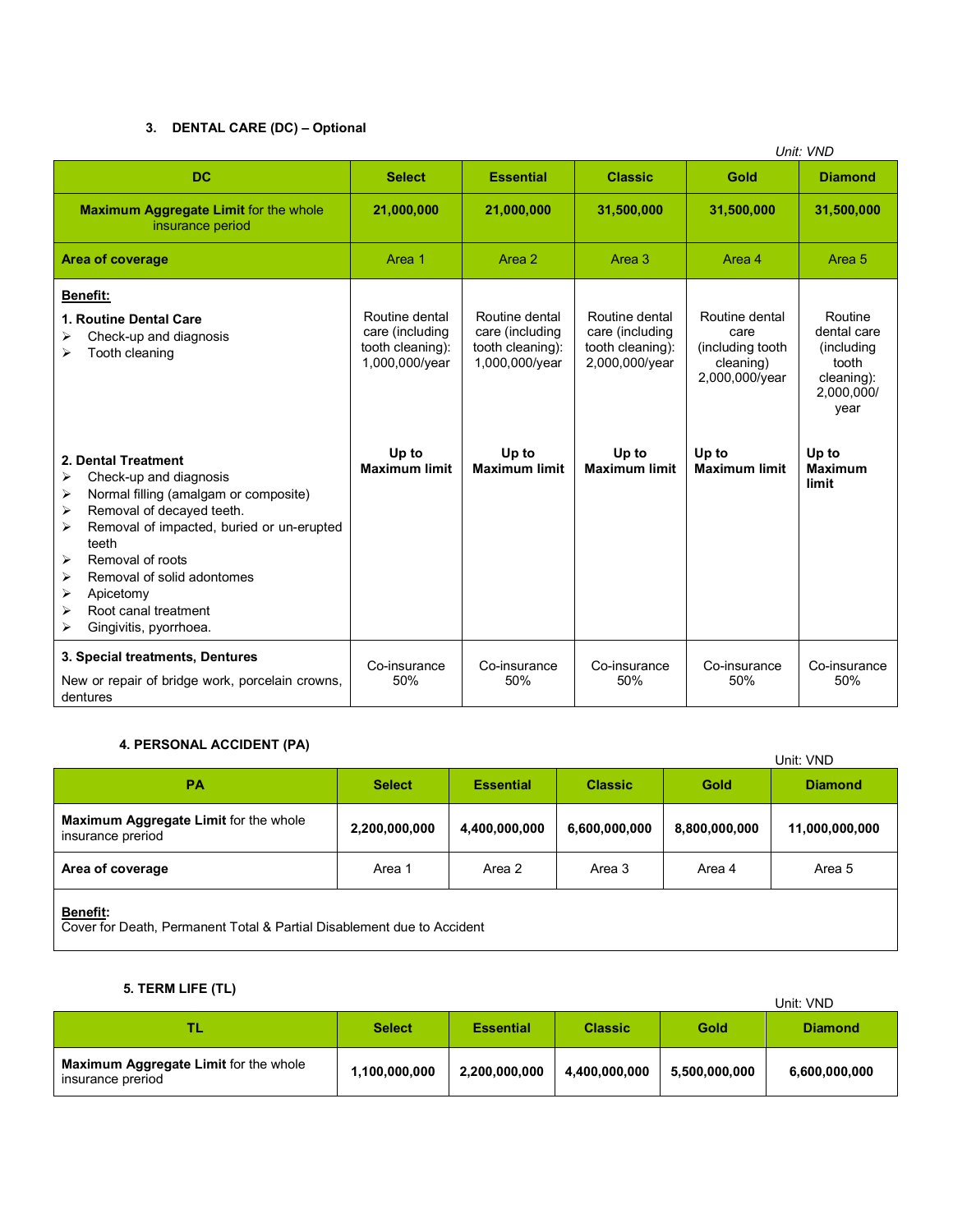## **3. DENTAL CARE (DC) – Optional**

|                                                                                                                                                                                                                                                                                                                                         |                                                                         |                                                                         |                                                                         |                                                                            | Unit: VND                                                                          |
|-----------------------------------------------------------------------------------------------------------------------------------------------------------------------------------------------------------------------------------------------------------------------------------------------------------------------------------------|-------------------------------------------------------------------------|-------------------------------------------------------------------------|-------------------------------------------------------------------------|----------------------------------------------------------------------------|------------------------------------------------------------------------------------|
| <b>DC</b>                                                                                                                                                                                                                                                                                                                               | <b>Select</b>                                                           | <b>Essential</b>                                                        | <b>Classic</b>                                                          | Gold                                                                       | <b>Diamond</b>                                                                     |
| <b>Maximum Aggregate Limit for the whole</b><br>insurance period                                                                                                                                                                                                                                                                        | 21,000,000                                                              | 21,000,000                                                              | 31,500,000                                                              | 31,500,000                                                                 | 31,500,000                                                                         |
| <b>Area of coverage</b>                                                                                                                                                                                                                                                                                                                 | Area 1                                                                  | Area 2                                                                  | Area 3                                                                  | Area 4                                                                     | Area 5                                                                             |
| Benefit:<br>1. Routine Dental Care<br>Check-up and diagnosis<br>Tooth cleaning<br>⋗                                                                                                                                                                                                                                                     | Routine dental<br>care (including<br>tooth cleaning):<br>1,000,000/year | Routine dental<br>care (including<br>tooth cleaning):<br>1,000,000/year | Routine dental<br>care (including<br>tooth cleaning):<br>2,000,000/year | Routine dental<br>care<br>(including tooth)<br>cleaning)<br>2,000,000/year | Routine<br>dental care<br>(including)<br>tooth<br>cleaning):<br>2,000,000/<br>year |
| 2. Dental Treatment<br>⋗<br>Check-up and diagnosis<br>Normal filling (amalgam or composite)<br>⋗<br>Removal of decayed teeth.<br>⋗<br>Removal of impacted, buried or un-erupted<br>⋗<br>teeth<br>Removal of roots<br>⋗<br>Removal of solid adontomes<br>➤<br>⋗<br>Apicetomy<br>Root canal treatment<br>⋗<br>Gingivitis, pyorrhoea.<br>⋗ | Up to<br><b>Maximum limit</b>                                           | Up to<br><b>Maximum limit</b>                                           | Up to<br><b>Maximum limit</b>                                           | Up to<br><b>Maximum limit</b>                                              | Up to<br><b>Maximum</b><br>limit                                                   |
| 3. Special treatments, Dentures<br>New or repair of bridge work, porcelain crowns,<br>dentures                                                                                                                                                                                                                                          | Co-insurance<br>50%                                                     | Co-insurance<br>50%                                                     | Co-insurance<br>50%                                                     | Co-insurance<br>50%                                                        | Co-insurance<br>50%                                                                |

## **4. PERSONAL ACCIDENT (PA)**

| $\tau$ . LEROORAL AGOIDERT (FA)                                                           |               |                  |                |               | Unit: VND      |  |
|-------------------------------------------------------------------------------------------|---------------|------------------|----------------|---------------|----------------|--|
| <b>PA</b>                                                                                 | <b>Select</b> | <b>Essential</b> | <b>Classic</b> | Gold          | <b>Diamond</b> |  |
| Maximum Aggregate Limit for the whole<br>insurance preriod                                | 2,200,000,000 | 4,400,000,000    | 6,600,000,000  | 8,800,000,000 | 11,000,000,000 |  |
| Area of coverage                                                                          | Area 1        | Area 2           | Area 3         | Area 4        | Area 5         |  |
| <b>Benefit:</b><br>Cover for Death, Permanent Total & Partial Disablement due to Accident |               |                  |                |               |                |  |

# **5. TERM LIFE (TL)**

| $V: I = IVU1 = II = I I - I$                               |               |                  |                |               | Unit: VND      |
|------------------------------------------------------------|---------------|------------------|----------------|---------------|----------------|
| ТЬ                                                         | <b>Select</b> | <b>Essential</b> | <b>Classic</b> | Gold          | <b>Diamond</b> |
| Maximum Aggregate Limit for the whole<br>insurance preriod | 1,100,000,000 | 2,200,000,000    | 4,400,000,000  | 5,500,000,000 | 6,600,000,000  |